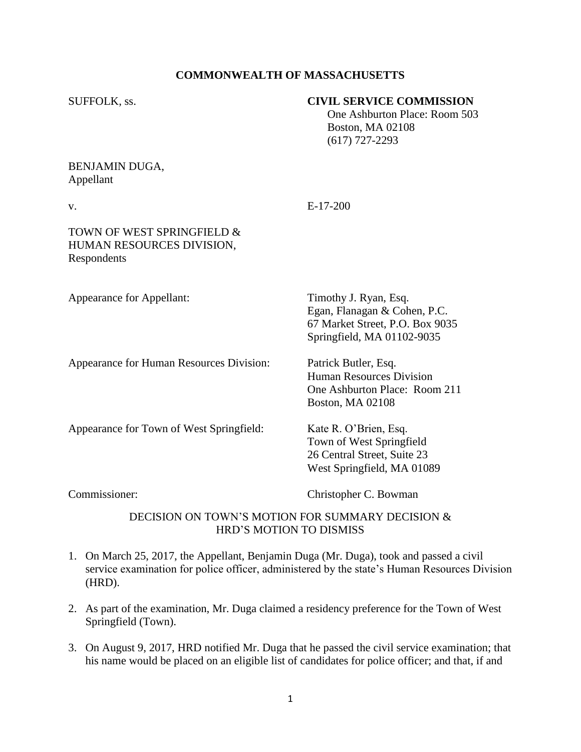# **COMMONWEALTH OF MASSACHUSETTS**

### SUFFOLK, ss. **CIVIL SERVICE COMMISSION**

 One Ashburton Place: Room 503 Boston, MA 02108 (617) 727-2293

## BENJAMIN DUGA, Appellant

v. E-17-200

# TOWN OF WEST SPRINGFIELD & HUMAN RESOURCES DIVISION, Respondents

Appearance for Appellant: Timothy J. Ryan, Esq.

Appearance for Human Resources Division: Patrick Butler, Esq.

Human Resources Division One Ashburton Place: Room 211 Boston, MA 02108

Egan, Flanagan & Cohen, P.C. 67 Market Street, P.O. Box 9035 Springfield, MA 01102-9035

Appearance for Town of West Springfield: Kate R. O'Brien, Esq.

Commissioner: Christopher C. Bowman

Town of West Springfield 26 Central Street, Suite 23 West Springfield, MA 01089

# DECISION ON TOWN'S MOTION FOR SUMMARY DECISION & HRD'S MOTION TO DISMISS

- 1. On March 25, 2017, the Appellant, Benjamin Duga (Mr. Duga), took and passed a civil service examination for police officer, administered by the state's Human Resources Division (HRD).
- 2. As part of the examination, Mr. Duga claimed a residency preference for the Town of West Springfield (Town).
- 3. On August 9, 2017, HRD notified Mr. Duga that he passed the civil service examination; that his name would be placed on an eligible list of candidates for police officer; and that, if and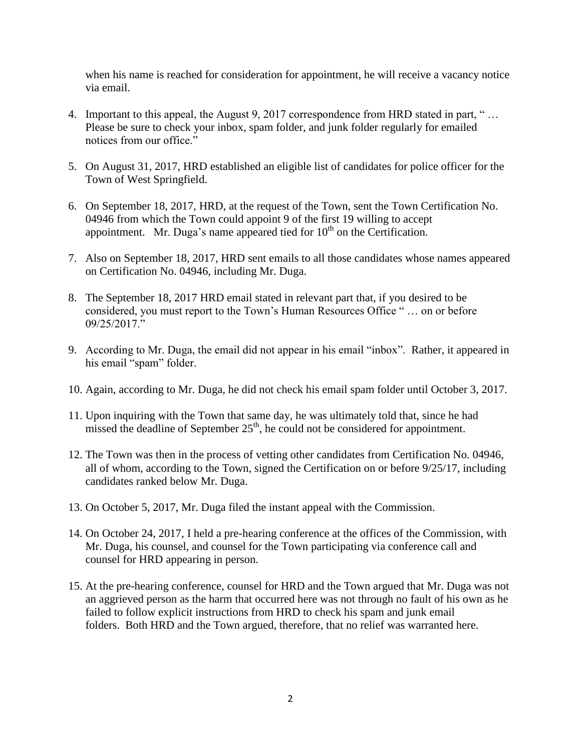when his name is reached for consideration for appointment, he will receive a vacancy notice via email.

- 4. Important to this appeal, the August 9, 2017 correspondence from HRD stated in part, " … Please be sure to check your inbox, spam folder, and junk folder regularly for emailed notices from our office."
- 5. On August 31, 2017, HRD established an eligible list of candidates for police officer for the Town of West Springfield.
- 6. On September 18, 2017, HRD, at the request of the Town, sent the Town Certification No. 04946 from which the Town could appoint 9 of the first 19 willing to accept appointment. Mr. Duga's name appeared tied for  $10<sup>th</sup>$  on the Certification.
- 7. Also on September 18, 2017, HRD sent emails to all those candidates whose names appeared on Certification No. 04946, including Mr. Duga.
- 8. The September 18, 2017 HRD email stated in relevant part that, if you desired to be considered, you must report to the Town's Human Resources Office " … on or before 09/25/2017."
- 9. According to Mr. Duga, the email did not appear in his email "inbox". Rather, it appeared in his email "spam" folder.
- 10. Again, according to Mr. Duga, he did not check his email spam folder until October 3, 2017.
- 11. Upon inquiring with the Town that same day, he was ultimately told that, since he had missed the deadline of September  $25<sup>th</sup>$ , he could not be considered for appointment.
- 12. The Town was then in the process of vetting other candidates from Certification No. 04946, all of whom, according to the Town, signed the Certification on or before 9/25/17, including candidates ranked below Mr. Duga.
- 13. On October 5, 2017, Mr. Duga filed the instant appeal with the Commission.
- 14. On October 24, 2017, I held a pre-hearing conference at the offices of the Commission, with Mr. Duga, his counsel, and counsel for the Town participating via conference call and counsel for HRD appearing in person.
- 15. At the pre-hearing conference, counsel for HRD and the Town argued that Mr. Duga was not an aggrieved person as the harm that occurred here was not through no fault of his own as he failed to follow explicit instructions from HRD to check his spam and junk email folders. Both HRD and the Town argued, therefore, that no relief was warranted here.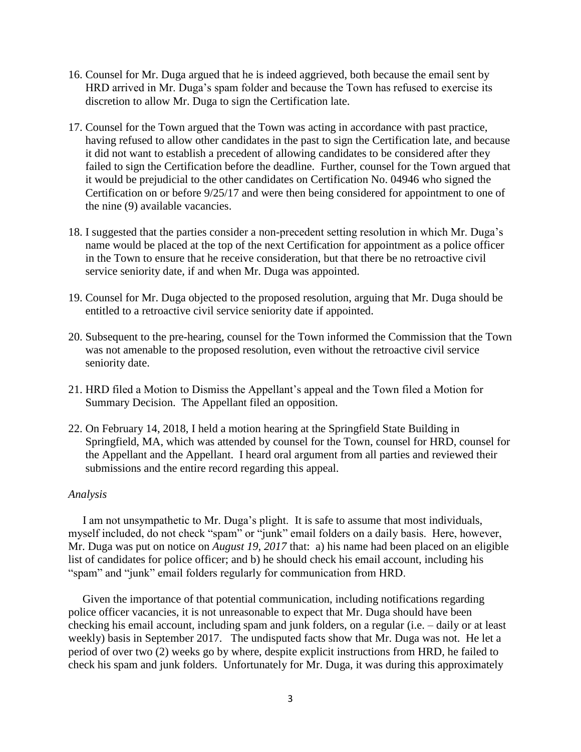- 16. Counsel for Mr. Duga argued that he is indeed aggrieved, both because the email sent by HRD arrived in Mr. Duga's spam folder and because the Town has refused to exercise its discretion to allow Mr. Duga to sign the Certification late.
- 17. Counsel for the Town argued that the Town was acting in accordance with past practice, having refused to allow other candidates in the past to sign the Certification late, and because it did not want to establish a precedent of allowing candidates to be considered after they failed to sign the Certification before the deadline. Further, counsel for the Town argued that it would be prejudicial to the other candidates on Certification No. 04946 who signed the Certification on or before 9/25/17 and were then being considered for appointment to one of the nine (9) available vacancies.
- 18. I suggested that the parties consider a non-precedent setting resolution in which Mr. Duga's name would be placed at the top of the next Certification for appointment as a police officer in the Town to ensure that he receive consideration, but that there be no retroactive civil service seniority date, if and when Mr. Duga was appointed.
- 19. Counsel for Mr. Duga objected to the proposed resolution, arguing that Mr. Duga should be entitled to a retroactive civil service seniority date if appointed.
- 20. Subsequent to the pre-hearing, counsel for the Town informed the Commission that the Town was not amenable to the proposed resolution, even without the retroactive civil service seniority date.
- 21. HRD filed a Motion to Dismiss the Appellant's appeal and the Town filed a Motion for Summary Decision. The Appellant filed an opposition.
- 22. On February 14, 2018, I held a motion hearing at the Springfield State Building in Springfield, MA, which was attended by counsel for the Town, counsel for HRD, counsel for the Appellant and the Appellant. I heard oral argument from all parties and reviewed their submissions and the entire record regarding this appeal.

#### *Analysis*

 I am not unsympathetic to Mr. Duga's plight. It is safe to assume that most individuals, myself included, do not check "spam" or "junk" email folders on a daily basis. Here, however, Mr. Duga was put on notice on *August 19, 2017* that: a) his name had been placed on an eligible list of candidates for police officer; and b) he should check his email account, including his "spam" and "junk" email folders regularly for communication from HRD.

 Given the importance of that potential communication, including notifications regarding police officer vacancies, it is not unreasonable to expect that Mr. Duga should have been checking his email account, including spam and junk folders, on a regular (i.e. – daily or at least weekly) basis in September 2017. The undisputed facts show that Mr. Duga was not. He let a period of over two (2) weeks go by where, despite explicit instructions from HRD, he failed to check his spam and junk folders. Unfortunately for Mr. Duga, it was during this approximately